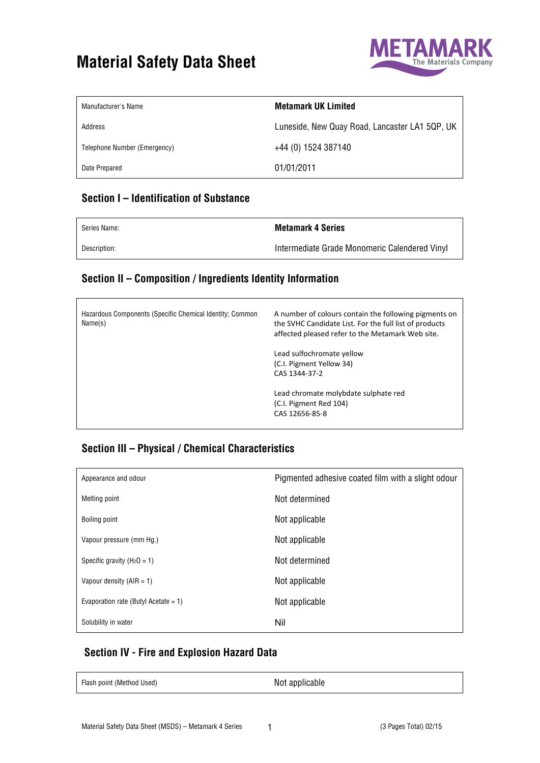# **Material Safety Data Sheet** Materials Company



| Manufacturer's Name          | <b>Metamark UK Limited</b>                     |
|------------------------------|------------------------------------------------|
| Address                      | Luneside, New Quay Road, Lancaster LA1 5QP, UK |
| Telephone Number (Emergency) | +44 (0) 1524 387140                            |
| Date Prepared                | 01/01/2011                                     |

### **Section I – Identification of Substance**

 $\mathsf{r}$ 

| Series Name: | <b>Metamark 4 Series</b>                      |
|--------------|-----------------------------------------------|
| Description: | Intermediate Grade Monomeric Calendered Vinyl |

#### **Section II – Composition / Ingredients Identity Information**

| Hazardous Components (Specific Chemical Identity; Common<br>Name(s) | A number of colours contain the following pigments on<br>the SVHC Candidate List. For the full list of products<br>affected pleased refer to the Metamark Web site. |
|---------------------------------------------------------------------|---------------------------------------------------------------------------------------------------------------------------------------------------------------------|
|                                                                     | Lead sulfochromate yellow<br>(C.I. Pigment Yellow 34)<br>CAS 1344-37-2                                                                                              |
|                                                                     | Lead chromate molybdate sulphate red<br>(C.I. Pigment Red 104)<br>CAS 12656-85-8                                                                                    |

#### **Section III – Physical / Chemical Characteristics**

| Appearance and odour                 | Pigmented adhesive coated film with a slight odour |
|--------------------------------------|----------------------------------------------------|
| Melting point                        | Not determined                                     |
| Boiling point                        | Not applicable                                     |
| Vapour pressure (mm Hg.)             | Not applicable                                     |
| Specific gravity ( $H_2O = 1$ )      | Not determined                                     |
| Vapour density $(AIR = 1)$           | Not applicable                                     |
| Evaporation rate (Butyl Acetate = 1) | Not applicable                                     |
| Solubility in water                  | Nil                                                |

### **Section IV - Fire and Explosion Hazard Data**

| Flash point (Method Used) | Not applicable |  |
|---------------------------|----------------|--|
|                           |                |  |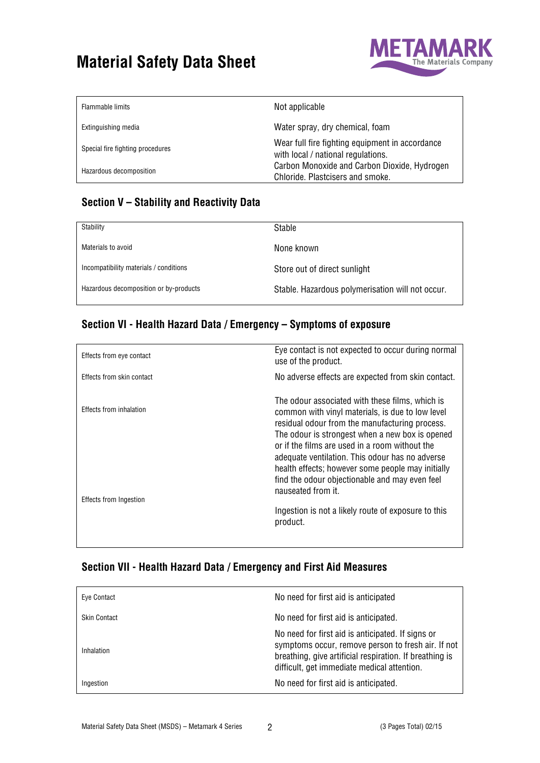

| Flammable limits                 | Not applicable                                                                        |
|----------------------------------|---------------------------------------------------------------------------------------|
| Extinguishing media              | Water spray, dry chemical, foam                                                       |
| Special fire fighting procedures | Wear full fire fighting equipment in accordance<br>with local / national regulations. |
| Hazardous decomposition          | Carbon Monoxide and Carbon Dioxide, Hydrogen<br>Chloride. Plastcisers and smoke.      |

### **Section V – Stability and Reactivity Data**

| Stability                              | <b>Stable</b>                                    |
|----------------------------------------|--------------------------------------------------|
| Materials to avoid                     | None known                                       |
| Incompatibility materials / conditions | Store out of direct sunlight                     |
| Hazardous decomposition or by-products | Stable. Hazardous polymerisation will not occur. |

## **Section VI - Health Hazard Data / Emergency – Symptoms of exposure**

| Eye contact is not expected to occur during normal<br>use of the product.                                                                                                                                                                                                                                                                                                                                                                  |
|--------------------------------------------------------------------------------------------------------------------------------------------------------------------------------------------------------------------------------------------------------------------------------------------------------------------------------------------------------------------------------------------------------------------------------------------|
| No adverse effects are expected from skin contact.                                                                                                                                                                                                                                                                                                                                                                                         |
| The odour associated with these films, which is<br>common with vinyl materials, is due to low level<br>residual odour from the manufacturing process.<br>The odour is strongest when a new box is opened<br>or if the films are used in a room without the<br>adequate ventilation. This odour has no adverse<br>health effects; however some people may initially<br>find the odour objectionable and may even feel<br>nauseated from it. |
| Ingestion is not a likely route of exposure to this<br>product.                                                                                                                                                                                                                                                                                                                                                                            |
|                                                                                                                                                                                                                                                                                                                                                                                                                                            |

### **Section VII - Health Hazard Data / Emergency and First Aid Measures**

| Eye Contact         | No need for first aid is anticipated                                                                                                                                                                              |
|---------------------|-------------------------------------------------------------------------------------------------------------------------------------------------------------------------------------------------------------------|
| <b>Skin Contact</b> | No need for first aid is anticipated.                                                                                                                                                                             |
| Inhalation          | No need for first aid is anticipated. If signs or<br>symptoms occur, remove person to fresh air. If not<br>breathing, give artificial respiration. If breathing is<br>difficult, get immediate medical attention. |
| Ingestion           | No need for first aid is anticipated.                                                                                                                                                                             |